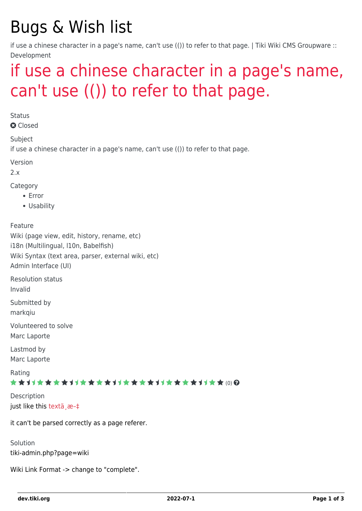# Bugs & Wish list

if use a chinese character in a page's name, can't use (()) to refer to that page. | Tiki Wiki CMS Groupware :: Development

## [if use a chinese character in a page's name,](https://dev.tiki.org/item2008-if-use-a-chinese-character-in-a-page-s-name-can-t-use-to-refer-to-that-page) [can't use \(\(\)\) to refer to that page.](https://dev.tiki.org/item2008-if-use-a-chinese-character-in-a-page-s-name-can-t-use-to-refer-to-that-page)

**Status** 

**Q** Closed

Subject

if use a chinese character in a page's name, can't use (()) to refer to that page.

Version

 $2x$ 

Category

- Error
- Usability

Feature Wiki (page view, edit, history, rename, etc) i18n (Multilingual, l10n, Babelfish) Wiki Syntax (text area, parser, external wiki, etc) Admin Interface (UI)

Resolution status

Invalid

Submitted by

markqiu

Volunteered to solve Marc Laporte

Lastmod by Marc Laporte

Rating

#### ★★11★★★★11★★★★11★★★★11★★★★+11★★ (0) @

Description just like this textä æ-‡

it can't be parsed correctly as a page referer.

Solution tiki-admin.php?page=wiki

Wiki Link Format -> change to "complete".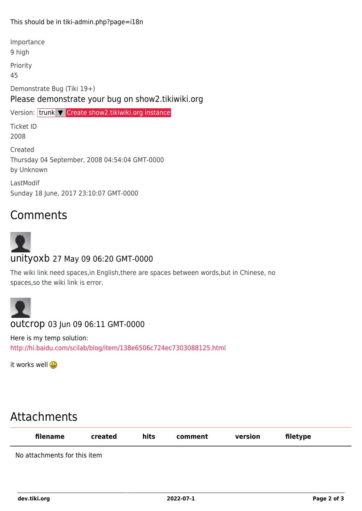#### This should be in tiki-admin.php?page=i18n

Importance

9 high

Priority

45

Demonstrate Bug (Tiki 19+) Please demonstrate your bug on show2.tikiwiki.org

Version: trunk ▼ [Create show2.tikiwiki.org instance](#page--1-0) Ticket ID 2008 Created Thursday 04 September, 2008 04:54:04 GMT-0000 by Unknown LastModif Sunday 18 June, 2017 23:10:07 GMT-0000

### Comments



The wiki link need spaces,in English,there are spaces between words,but in Chinese, no spaces,so the wiki link is error.



Here is my temp solution: <http://hi.baidu.com/scilab/blog/item/138e6506c724ec7303088125.html>

it works well B

## Attachments

| filename                     | created | hits | comment | version | filetype |  |
|------------------------------|---------|------|---------|---------|----------|--|
| No attachments for this item |         |      |         |         |          |  |